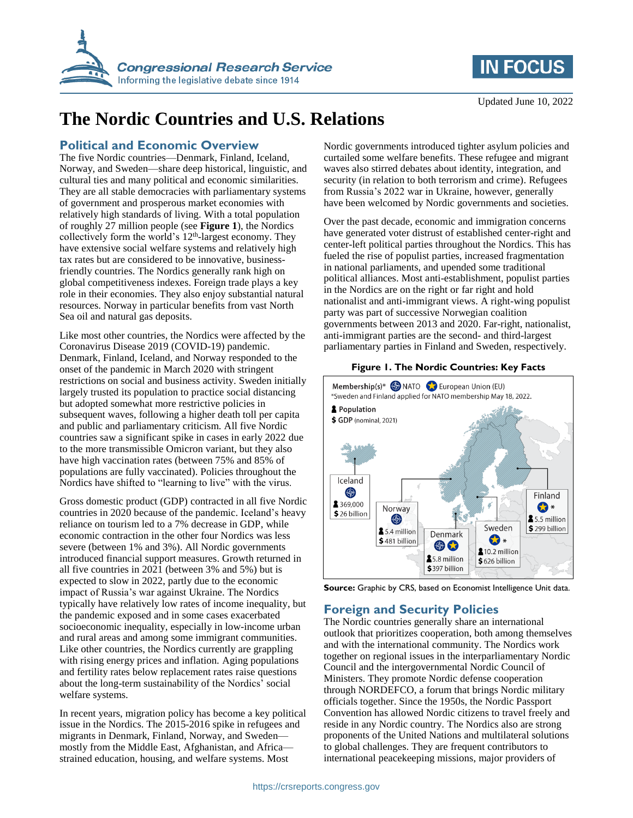



# **The Nordic Countries and U.S. Relations**

## **Political and Economic Overview**

The five Nordic countries—Denmark, Finland, Iceland, Norway, and Sweden—share deep historical, linguistic, and cultural ties and many political and economic similarities. They are all stable democracies with parliamentary systems of government and prosperous market economies with relatively high standards of living. With a total population of roughly 27 million people (see **[Figure 1](#page-0-0)**), the Nordics collectively form the world's  $12<sup>th</sup>$ -largest economy. They have extensive social welfare systems and relatively high tax rates but are considered to be innovative, businessfriendly countries. The Nordics generally rank high on global competitiveness indexes. Foreign trade plays a key role in their economies. They also enjoy substantial natural resources. Norway in particular benefits from vast North Sea oil and natural gas deposits.

Like most other countries, the Nordics were affected by the Coronavirus Disease 2019 (COVID-19) pandemic. Denmark, Finland, Iceland, and Norway responded to the onset of the pandemic in March 2020 with stringent restrictions on social and business activity. Sweden initially largely trusted its population to practice social distancing but adopted somewhat more restrictive policies in subsequent waves, following a higher death toll per capita and public and parliamentary criticism. All five Nordic countries saw a significant spike in cases in early 2022 due to the more transmissible Omicron variant, but they also have high vaccination rates (between 75% and 85% of populations are fully vaccinated). Policies throughout the Nordics have shifted to "learning to live" with the virus.

Gross domestic product (GDP) contracted in all five Nordic countries in 2020 because of the pandemic. Iceland's heavy reliance on tourism led to a 7% decrease in GDP, while economic contraction in the other four Nordics was less severe (between 1% and 3%). All Nordic governments introduced financial support measures. Growth returned in all five countries in 2021 (between 3% and 5%) but is expected to slow in 2022, partly due to the economic impact of Russia's war against Ukraine. The Nordics typically have relatively low rates of income inequality, but the pandemic exposed and in some cases exacerbated socioeconomic inequality, especially in low-income urban and rural areas and among some immigrant communities. Like other countries, the Nordics currently are grappling with rising energy prices and inflation. Aging populations and fertility rates below replacement rates raise questions about the long-term sustainability of the Nordics' social welfare systems.

In recent years, migration policy has become a key political issue in the Nordics. The 2015-2016 spike in refugees and migrants in Denmark, Finland, Norway, and Sweden mostly from the Middle East, Afghanistan, and Africa strained education, housing, and welfare systems. Most

Nordic governments introduced tighter asylum policies and curtailed some welfare benefits. These refugee and migrant waves also stirred debates about identity, integration, and security (in relation to both terrorism and crime). Refugees from Russia's 2022 war in Ukraine, however, generally have been welcomed by Nordic governments and societies.

Over the past decade, economic and immigration concerns have generated voter distrust of established center-right and center-left political parties throughout the Nordics. This has fueled the rise of populist parties, increased fragmentation in national parliaments, and upended some traditional political alliances. Most anti-establishment, populist parties in the Nordics are on the right or far right and hold nationalist and anti-immigrant views. A right-wing populist party was part of successive Norwegian coalition governments between 2013 and 2020. Far-right, nationalist, anti-immigrant parties are the second- and third-largest parliamentary parties in Finland and Sweden, respectively.

## **Figure 1. The Nordic Countries: Key Facts**

<span id="page-0-0"></span>

Source: Graphic by CRS, based on Economist Intelligence Unit data.

## **Foreign and Security Policies**

The Nordic countries generally share an international outlook that prioritizes cooperation, both among themselves and with the international community. The Nordics work together on regional issues in the interparliamentary Nordic Council and the intergovernmental Nordic Council of Ministers. They promote Nordic defense cooperation through NORDEFCO, a forum that brings Nordic military officials together. Since the 1950s, the Nordic Passport Convention has allowed Nordic citizens to travel freely and reside in any Nordic country. The Nordics also are strong proponents of the United Nations and multilateral solutions to global challenges. They are frequent contributors to international peacekeeping missions, major providers of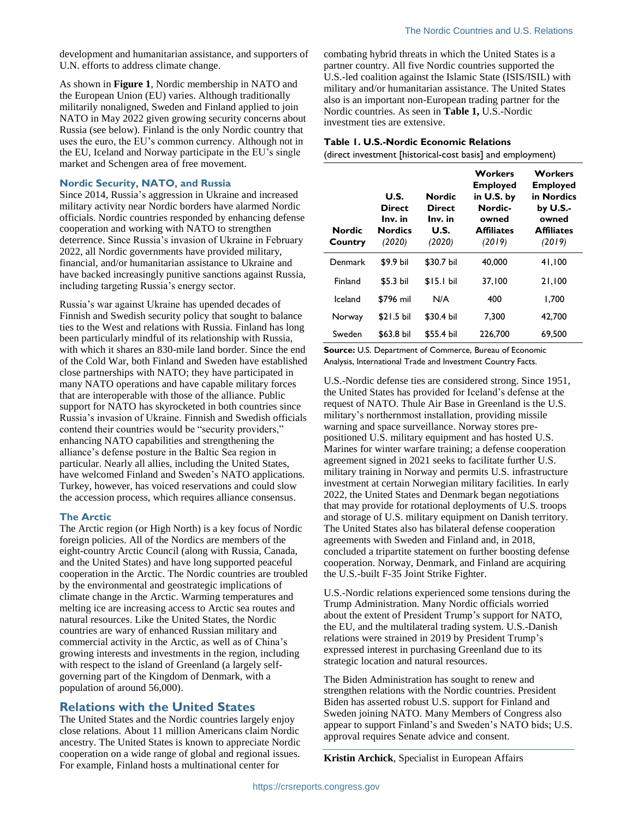development and humanitarian assistance, and supporters of U.N. efforts to address climate change.

As shown in **[Figure 1](#page-0-0)**, Nordic membership in NATO and the European Union (EU) varies. Although traditionally militarily nonaligned, Sweden and Finland applied to join NATO in May 2022 given growing security concerns about Russia (see below). Finland is the only Nordic country that uses the euro, the EU's common currency. Although not in the EU, Iceland and Norway participate in the EU's single market and Schengen area of free movement.

#### **Nordic Security, NATO, and Russia**

Since 2014, Russia's aggression in Ukraine and increased military activity near Nordic borders have alarmed Nordic officials. Nordic countries responded by enhancing defense cooperation and working with NATO to strengthen deterrence. Since Russia's invasion of Ukraine in February 2022, all Nordic governments have provided military, financial, and/or humanitarian assistance to Ukraine and have backed increasingly punitive sanctions against Russia, including targeting Russia's energy sector.

Russia's war against Ukraine has upended decades of Finnish and Swedish security policy that sought to balance ties to the West and relations with Russia. Finland has long been particularly mindful of its relationship with Russia, with which it shares an 830-mile land border. Since the end of the Cold War, both Finland and Sweden have established close partnerships with NATO; they have participated in many NATO operations and have capable military forces that are interoperable with those of the alliance. Public support for NATO has skyrocketed in both countries since Russia's invasion of Ukraine. Finnish and Swedish officials contend their countries would be "security providers," enhancing NATO capabilities and strengthening the alliance's defense posture in the Baltic Sea region in particular. Nearly all allies, including the United States, have welcomed Finland and Sweden's NATO applications. Turkey, however, has voiced reservations and could slow the accession process, which requires alliance consensus.

#### **The Arctic**

The Arctic region (or High North) is a key focus of Nordic foreign policies. All of the Nordics are members of the eight-country Arctic Council (along with Russia, Canada, and the United States) and have long supported peaceful cooperation in the Arctic. The Nordic countries are troubled by the environmental and geostrategic implications of climate change in the Arctic. Warming temperatures and melting ice are increasing access to Arctic sea routes and natural resources. Like the United States, the Nordic countries are wary of enhanced Russian military and commercial activity in the Arctic, as well as of China's growing interests and investments in the region, including with respect to the island of Greenland (a largely selfgoverning part of the Kingdom of Denmark, with a population of around 56,000).

### **Relations with the United States**

The United States and the Nordic countries largely enjoy close relations. About 11 million Americans claim Nordic ancestry. The United States is known to appreciate Nordic cooperation on a wide range of global and regional issues. For example, Finland hosts a multinational center for

combating hybrid threats in which the United States is a partner country. All five Nordic countries supported the U.S.-led coalition against the Islamic State (ISIS/ISIL) with military and/or humanitarian assistance. The United States also is an important non-European trading partner for the Nordic countries. As seen in **[Table 1,](#page-1-0)** U.S.-Nordic investment ties are extensive.

#### <span id="page-1-0"></span>**Table 1. U.S.-Nordic Economic Relations**

(direct investment [historical-cost basis] and employment)

| Nordic<br>Country | U.S.<br><b>Direct</b><br>Inv. in<br><b>Nordics</b><br>(2020) | Nordic<br><b>Direct</b><br>Inv. in<br>U.S.<br>(2020) | Workers<br><b>Employed</b><br>in U.S. by<br>Nordic-<br>owned<br><b>Affiliates</b><br>(2019) | <b>Workers</b><br><b>Employed</b><br>in Nordics<br>by U.S.-<br>owned<br><b>Affiliates</b><br>(2019) |
|-------------------|--------------------------------------------------------------|------------------------------------------------------|---------------------------------------------------------------------------------------------|-----------------------------------------------------------------------------------------------------|
| Denmark           | \$9.9 bil                                                    | \$30.7 bil                                           | 40,000                                                                                      | 41.100                                                                                              |
| <b>Finland</b>    | $$5.3$ bil                                                   | $$15.1$ bil                                          | 37.100                                                                                      | 21,100                                                                                              |
| lceland           | \$796 mil                                                    | N/A                                                  | 400                                                                                         | 1.700                                                                                               |
| Norway            | $$21.5$ bil                                                  | \$30.4 bil                                           | 7.300                                                                                       | 42.700                                                                                              |
| Sweden            | \$63.8 bil                                                   | \$55.4 bil                                           | 226,700                                                                                     | 69,500                                                                                              |

**Source:** U.S. Department of Commerce, Bureau of Economic Analysis, International Trade and Investment Country Facts.

U.S.-Nordic defense ties are considered strong. Since 1951, the United States has provided for Iceland's defense at the request of NATO. Thule Air Base in Greenland is the U.S. military's northernmost installation, providing missile warning and space surveillance. Norway stores prepositioned U.S. military equipment and has hosted U.S. Marines for winter warfare training; a defense cooperation agreement signed in 2021 seeks to facilitate further U.S. military training in Norway and permits U.S. infrastructure investment at certain Norwegian military facilities. In early 2022, the United States and Denmark began negotiations that may provide for rotational deployments of U.S. troops and storage of U.S. military equipment on Danish territory. The United States also has bilateral defense cooperation agreements with Sweden and Finland and, in 2018, concluded a tripartite statement on further boosting defense cooperation. Norway, Denmark, and Finland are acquiring the U.S.-built F-35 Joint Strike Fighter.

U.S.-Nordic relations experienced some tensions during the Trump Administration. Many Nordic officials worried about the extent of President Trump's support for NATO, the EU, and the multilateral trading system. U.S.-Danish relations were strained in 2019 by President Trump's expressed interest in purchasing Greenland due to its strategic location and natural resources.

The Biden Administration has sought to renew and strengthen relations with the Nordic countries. President Biden has asserted robust U.S. support for Finland and Sweden joining NATO. Many Members of Congress also appear to support Finland's and Sweden's NATO bids; U.S. approval requires Senate advice and consent.

**Kristin Archick**, Specialist in European Affairs